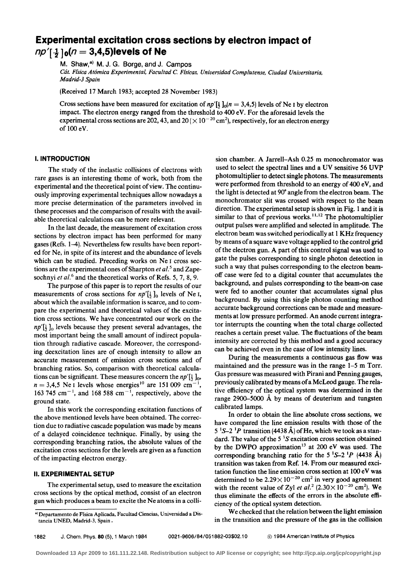## **Experimental excitation cross sections by electron impact of**  $np'[\frac{1}{2}]_0(n=3,4,5)$ levels of Ne

M. Shaw,<sup>a)</sup> M. J. G. Borge, and J. Campos

*Cát. Física Atómica Experimental, Facultad* C. *Físicas, Universidad Complutense. Ciudad Universitaria, Madrid-3 Spain*

(Received 17 March 1983; accepted 28 November 1983)

Cross sections have been measured for excitation of  $np'[\frac{1}{2}]_0(n=3,4,5)$  levels of Ne I by electron impact. The electron energy ranged from the threshold to  $400 \text{ eV}$ . For the aforesaid levels the experimental cross sections are 202, 43, and  $20 \times 10^{-20}$  cm<sup>2</sup>), respectively, for an electron energy of 100 eV.

## **l. INTRODUCTION**

The study of the inelastic collisions of electrons with rare gases is an interesting theme of work, both from the experimental and the theoretical point of view. The continuously improving experimental techniques allow nowadays a more precise determination of the parameters involved in these processes and the comparison of results with the available theoretical calculations can be more relevant.

In the last decade, the measurement of excitation cross sections by electron impact has been performed for many gases (Refs. 1-4). Nevertheless few results have been reported for Ne, in spite of its interest and the abundance of levels which can be studied. Preceding works on Ne 1 cross sections are the experimental ones of Sharpton *et al.*<sup>5</sup> and Zapesochnyi *et al.*<sup>6</sup> and the theoretical works of Refs. 5, 7, 8, 9.

The purpose of this paper is to report the results of our measurements of cross sections for  $np'[\frac{1}{2}]_0$  levels of Ne I, about which the available information is scarce, and to compare the experimental and theoretical values of the excitation cross sections. We have concentrated our work on the  $np'$ [ $\frac{1}{2}$ ]<sub>0</sub> levels because they present several advantages, the most important being the small amount of indirect population through radiative cascade. Moreover, the corresponding deexcitation lines are of enough intensity to allow an accurate measurement of emission cross sections and of branching ratios. So, comparison with theoretical calculations can be significant. These measures concern the  $np'[\frac{1}{2}]_0$ ,  $n = 3,4,5$  Ne I levels whose energies<sup>10</sup> are 151009 cm<sup>-</sup> ,  $163745$  cm<sup>-1</sup>, and 168 588 cm<sup>-1</sup>, respectively, above the ground state.

In this work the corresponding excitation functions of the aboye mentioned levels have been obtained. The correction due to radiative cascade population was made by means of a delayed coincidence technique. Finally, by using the corresponding branching ratios, the absolute values of the excitation cross sections for the levels are given as a function of the impacting electron energy.

## **11. EXPERIMENTAL SETUP**

The experimental setup, used to measure the excitation cross sections by the optical method, consist of an electron gun which produces a beam to excite the Ne atoms in a colli-

sion chamber. A Jarrell-Ash 0.25 m monochromator was used to select the spectral lines and a UV sensitive 56 UVP photomultiplier to detect single photons. The measurements were performed from threshold to an energy of 400 eV, and the light is detected at 90· angle from the electron beam. The monochromator slit was crossed with respect to the beam direction. The experimental setup is shown in Fig. 1 and it is similar to that of previous works.<sup>11,12</sup> The photomultiplier output pulses were amplified and selected in amplitude. The electron beam was switched periodically at 1KHz frequency by means of a square wave voltage applied to the control grid of the electron gun. A part of this control signal was used to gate the pulses corresponding to single photon detection in such a way that pulses corresponding to the electron beamoff case were fed to a digital counter that accumulates the background, and pulses corresponding to the beam-on case were fed to another counter that accumulates signal plus background. By using this single photon counting method accurate background corrections can be made and measurements at low pressure performed. An anode current integrator interrupts the counting when the total charge collected reaches a certain preset value. The fluctuations of the beam intensity are corrected by this method and a good accuracy can be achieved even in the case of low intensity lines.

During the measurements a continuous gas flow was maintained and the pressure was in the range 1-5 m Torr. Gas pressure was measured with Pirani and Penning gauges, previously calibrated by means ofa McLeod gauge. The relative efficiency of the optical system was determined in the range 2900-5000 A by means of deuterium and tungsten calibrated lamps.

In order to obtain the line absolute cross sections, we have compared the line emission results with those of the 5  ${}^{1}S-2$  <sup>1</sup>P transition (4438 Å) of He, which we took as a standard. The value of the 5  ${}^{1}S$  excitation cross section obtained by the DWPO approximation<sup>13</sup> at 200 eV was used. The corresponding branching ratio for the 5  ${}^{1}S-2 {}^{1}P$  (4438 Å) transition was taken from Ref. 14. From our measured excitation function the line emission cross section at 100 eV was determined to be  $2.29\times10^{-20}$  cm<sup>2</sup> in very good agreement with the recent value of Zyl *et al.*<sup>2</sup> (2.30 $\times$  10<sup>-20</sup> cm<sup>2</sup>). We thus eliminate the effects of the errors in the absolute efficiency of the optical system detection.

We checked that the relation between the light emission in the transition and the pressure of the gas in the collision

1882 J. Chem. Phys. 80 (5), 1 March 1984 0021-9606/84/051882-03\$02.10 © 1984 American Institute of Physics

al Departamento de Física Aplicada, Facultad Ciencias, Universidad a Distancia UNED, Madrid-3, Spain .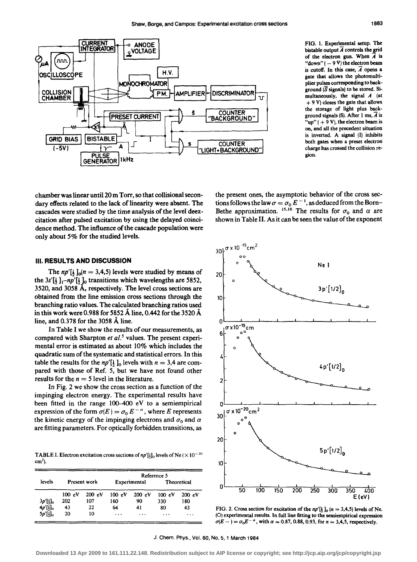

FIG. 1. Experimental setup. The bistable output  $\overline{A}$  controls the grid of the electron gun. When  $\overline{A}$  is " $down" (-9 V)$  the electron beam is cutoff. In this case,  $\overline{A}$  opens a gate that allows the photomultiplier pulses corresponding to background  $(\overline{S}$  signals) to be stored. Simultaneously, the signal *A* (at  $+ 9 V$ ) closes the gate that allows the storage of light plus background signals (S). After 1 ms,  $\overline{A}$  is "up"  $( + 9 V)$ , the electron beam is on, and all the precedent situation is inverted. A signal (1) inhibits both gates when a preset electron charge has crossed the collision region.

chamber was linear until 20 m Torr, so that collisional secondary effects related to the lack of linearity were absent. The cascades were studied by the time analysis of the level deexcitation after pulsed excitation by using the delayed coincidence method. The influence of the cascade population were only about 5% for the studied levels.

the present ones, the asymptotie behavior of the eross seetions follows the law  $\sigma=\sigma_0 E^{-1}$ , as deduced from the Born-Bethe approximation. <sup>15,16</sup> The results for  $\sigma_0$  and  $\alpha$  are shown in Table II. As it can be seen the value of the exponent

## 111. RESULTS ANO OISCUSSION

The  $np'[\frac{1}{2}]_0(n = 3, 4, 5)$  levels were studied by means of the  $3s'[\frac{1}{2}]_1 - np'[\frac{1}{2}]_0$  transitions which wavelengths are 5852, 3520, and 3058 Á, respectively. The level cross sections are obtained from the line emission cross sections through the branching ratio values. The calculated branching ratios used in this work were 0.988 for 5852 Á line, 0.442 for the 3520 Á line, and  $0.378$  for the 3058  $\AA$  line.

In Table I we show the results of our measurements, as compared with Sharpton *et a/.5* values. The present experimental error is estimated as about 10% which ineludes the quadratic sum of the systematic and statistical errors. In this table the results for the  $np'[\frac{1}{2}]_0$  levels with  $n = 3,4$  are compared with those of Ref. 5, but we have not found other results for the  $n = 5$  level in the literature.

In Fig. 2 we show the cross section as a function of the impinging eleetron energy. The experimental results have been fitted in the range 100-400 eV to a semiempirical expression of the form  $\sigma(E) = \sigma_0 E^{-\alpha}$ , where E represents the kinetic energy of the impinging electrons and  $\sigma_0$  and  $\alpha$ are fitting parameters. For optically forbidden transitions, as

**TABLE I. Electron excitation cross sections of**  $np'[1]_0$  **levels of Ne (** $\times$  **10<sup>-20</sup>)**  $cm<sup>2</sup>$ ).

| levels                 |                     |        | Reference 5  |        |             |         |
|------------------------|---------------------|--------|--------------|--------|-------------|---------|
|                        | <b>Present work</b> |        | Experimental |        | Theoretical |         |
|                        | 100 eV              | 200 eV | 100 eV       | 200 eV | 100 eV      | 200 eV  |
| $3p'[\underline{1}]_0$ | 202                 | 107    | 160          | 90     | 330         | 180     |
| $4p'[\frac{1}{2}]_0$   | 43                  | 22     | 64           | 41     | 80          | 43      |
| $5p'[\frac{1}{2}]_0$   | 20                  | 10     | $\cdots$     | .      | $\cdots$    | $\cdot$ |



FIG. 2. Cross section for excitation of the  $np'[\frac{1}{2}]_0$  ( $n = 3,4,5$ ) levels of Ne. (O) experimental results. In full line fitting to the semiempirical expression  $\sigma(E - ) = \sigma_0 E^{-\alpha}$ , with  $\alpha = 0.87, 0.88, 0.93$ , for  $n = 3,4,5$ , respectively.

J. Chem. Phys., Vol. 80, No. 5,1 March 1984

**Downloaded 13 Apr 2009 to 161.111.22.148. Redistribution subject to AIP license or copyright; see http://jcp.aip.org/jcp/copyright.jsp**